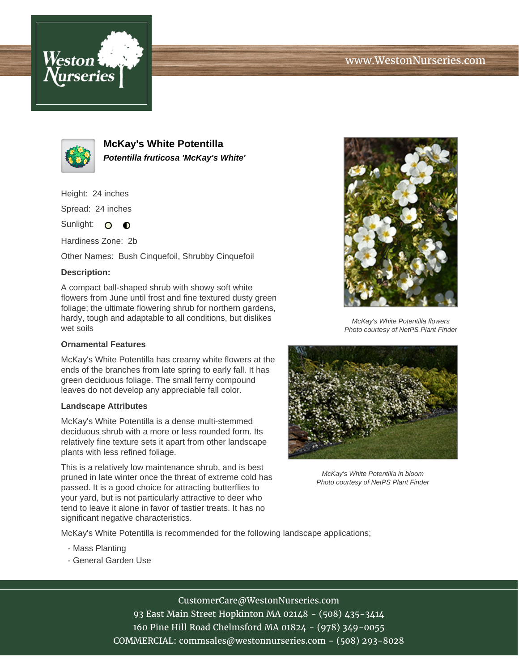



**McKay's White Potentilla Potentilla fruticosa 'McKay's White'**

Height: 24 inches

Spread: 24 inches

Sunlight: O **O** 

Hardiness Zone: 2b

Other Names: Bush Cinquefoil, Shrubby Cinquefoil

## **Description:**

A compact ball-shaped shrub with showy soft white flowers from June until frost and fine textured dusty green foliage; the ultimate flowering shrub for northern gardens, hardy, tough and adaptable to all conditions, but dislikes wet soils

## **Ornamental Features**

McKay's White Potentilla has creamy white flowers at the ends of the branches from late spring to early fall. It has green deciduous foliage. The small ferny compound leaves do not develop any appreciable fall color.

## **Landscape Attributes**

McKay's White Potentilla is a dense multi-stemmed deciduous shrub with a more or less rounded form. Its relatively fine texture sets it apart from other landscape plants with less refined foliage.

This is a relatively low maintenance shrub, and is best pruned in late winter once the threat of extreme cold has passed. It is a good choice for attracting butterflies to your yard, but is not particularly attractive to deer who tend to leave it alone in favor of tastier treats. It has no significant negative characteristics.



McKay's White Potentilla flowers Photo courtesy of NetPS Plant Finder



McKay's White Potentilla in bloom Photo courtesy of NetPS Plant Finder

McKay's White Potentilla is recommended for the following landscape applications;

- Mass Planting
- General Garden Use

CustomerCare@WestonNurseries.com

93 East Main Street Hopkinton MA 02148 - (508) 435-3414 160 Pine Hill Road Chelmsford MA 01824 - (978) 349-0055 COMMERCIAL: commsales@westonnurseries.com - (508) 293-8028